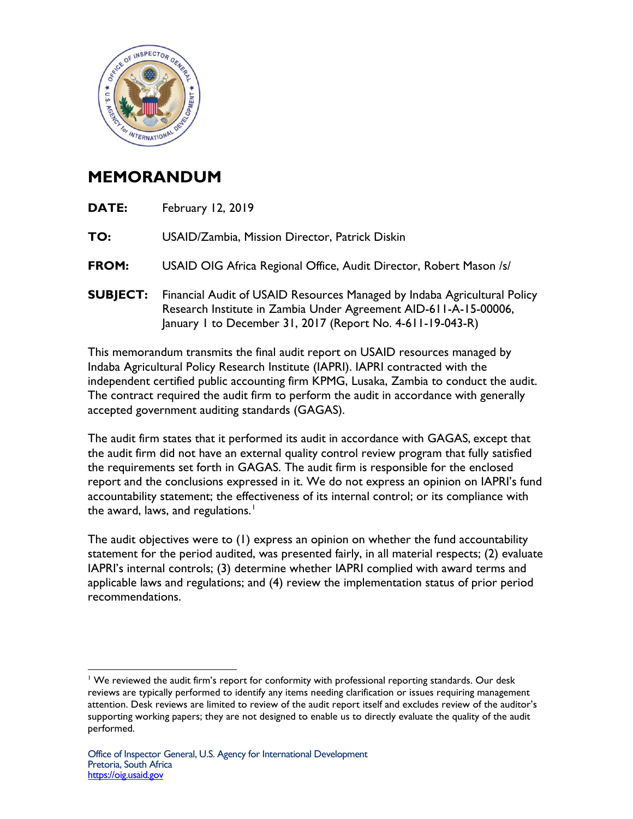

## **MEMORANDUM**

| <b>DATE:</b>    | February 12, 2019                                                                                                                                                                                          |
|-----------------|------------------------------------------------------------------------------------------------------------------------------------------------------------------------------------------------------------|
| TO:             | USAID/Zambia, Mission Director, Patrick Diskin                                                                                                                                                             |
| <b>FROM:</b>    | USAID OIG Africa Regional Office, Audit Director, Robert Mason /s/                                                                                                                                         |
| <b>SUBJECT:</b> | Financial Audit of USAID Resources Managed by Indaba Agricultural Policy<br>Research Institute in Zambia Under Agreement AID-611-A-15-00006,<br>January 1 to December 31, 2017 (Report No. 4-611-19-043-R) |

This memorandum transmits the final audit report on USAID resources managed by Indaba Agricultural Policy Research Institute (IAPRI). IAPRI contracted with the independent certified public accounting firm KPMG, Lusaka, Zambia to conduct the audit. The contract required the audit firm to perform the audit in accordance with generally accepted government auditing standards (GAGAS).

The audit firm states that it performed its audit in accordance with GAGAS, except that the audit firm did not have an external quality control review program that fully satisfied the requirements set forth in GAGAS. The audit firm is responsible for the enclosed report and the conclusions expressed in it. We do not express an opinion on IAPRI's fund accountability statement; the effectiveness of its internal control; or its compliance with the award, laws, and regulations.<sup>[1](#page-0-0)</sup>

The audit objectives were to (1) express an opinion on whether the fund accountability statement for the period audited, was presented fairly, in all material respects; (2) evaluate IAPRI's internal controls; (3) determine whether IAPRI complied with award terms and applicable laws and regulations; and (4) review the implementation status of prior period recommendations.

<span id="page-0-0"></span> $\overline{a}$ <sup>1</sup> We reviewed the audit firm's report for conformity with professional reporting standards. Our desk reviews are typically performed to identify any items needing clarification or issues requiring management attention. Desk reviews are limited to review of the audit report itself and excludes review of the auditor's supporting working papers; they are not designed to enable us to directly evaluate the quality of the audit performed.